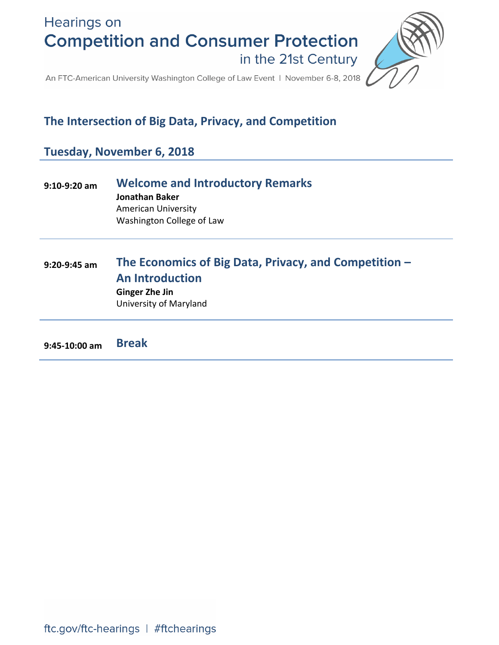**Hearings on Competition and Consumer Protection** in the 21st Century



An FTC-American University Washington College of Law Event | November 6-8, 2018

# **The Intersection of Big Data, Privacy, and Competition**

# **Tuesday, November 6, 2018**

| $9:10-9:20$ am | <b>Welcome and Introductory Remarks</b><br>Jonathan Baker<br><b>American University</b><br>Washington College of Law               |
|----------------|------------------------------------------------------------------------------------------------------------------------------------|
| $9:20-9:45$ am | The Economics of Big Data, Privacy, and Competition -<br><b>An Introduction</b><br><b>Ginger Zhe Jin</b><br>University of Maryland |

**9:45-10:00 am Break**

ftc.gov/ftc-hearings | #ftchearings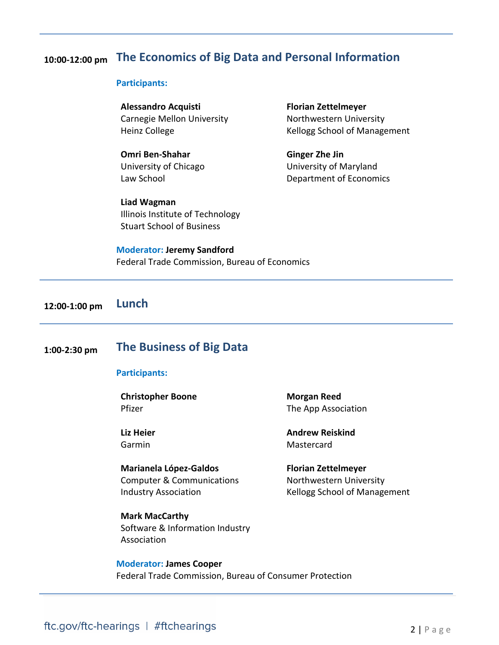## **10:00-12:00 pm The Economics of Big Data and Personal Information**

#### **Participants:**

**Alessandro Acquisti** Carnegie Mellon University Heinz College

**Omri Ben-Shahar** University of Chicago Law School

**Liad Wagman** Illinois Institute of Technology Stuart School of Business

**Florian Zettelmeyer** Northwestern University Kellogg School of Management

**Ginger Zhe Jin** University of Maryland Department of Economics

**Moderator: Jeremy Sandford** Federal Trade Commission, Bureau of Economics

**12:00-1:00 pm Lunch**

## **1:00-2:30 pm The Business of Big Data**

#### **Participants:**

**Christopher Boone** Pfizer

**Liz Heier** Garmin

**Marianela López-Galdos** Computer & Communications Industry Association

**Mark MacCarthy** Software & Information Industry Association

**Morgan Reed** The App Association

**Andrew Reiskind** Mastercard

**Florian Zettelmeyer** Northwestern University Kellogg School of Management

**Moderator: James Cooper** Federal Trade Commission, Bureau of Consumer Protection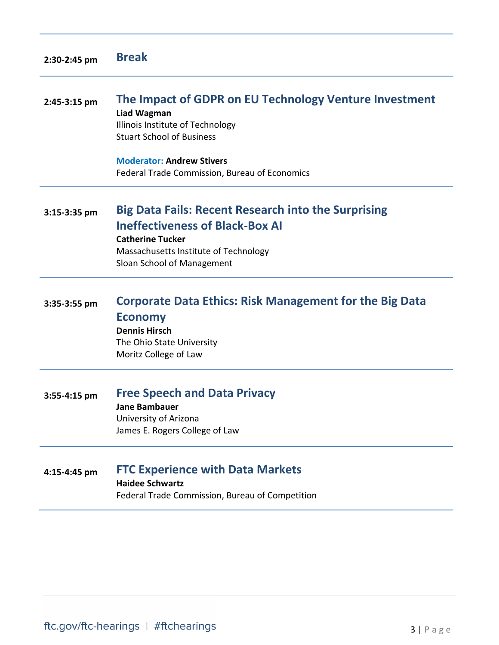| 2:30-2:45 pm | <b>Break</b> |
|--------------|--------------|
|--------------|--------------|

# **2:45-3:15 pm The Impact of GDPR on EU Technology Venture Investment Liad Wagman**

Illinois Institute of Technology Stuart School of Business

**Moderator: Andrew Stivers** Federal Trade Commission, Bureau of Economics

## **3:15-3:35 pm Big Data Fails: Recent Research into the Surprising Ineffectiveness of Black-Box AI Catherine Tucker**

Massachusetts Institute of Technology Sloan School of Management

# **3:35-3:55 pm Corporate Data Ethics: Risk Management for the Big Data Economy Dennis Hirsch**  The Ohio State University Moritz College of Law

# **3:55-4:15 pm Free Speech and Data Privacy**

**Jane Bambauer** University of Arizona James E. Rogers College of Law

## **4:15-4:45 pm FTC Experience with Data Markets**

**Haidee Schwartz**

Federal Trade Commission, Bureau of Competition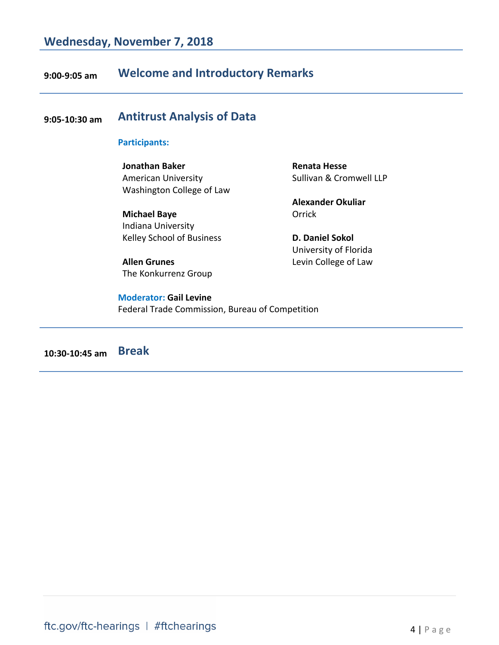# **9:00-9:05 am Welcome and Introductory Remarks**

# **9:05-10:30 am Antitrust Analysis of Data**

### **Participants:**

**Jonathan Baker** American University Washington College of Law

**Michael Baye** Indiana University Kelley School of Business

**Allen Grunes** The Konkurrenz Group

**Moderator: Gail Levine** Federal Trade Commission, Bureau of Competition

**Renata Hesse** Sullivan & Cromwell LLP

**Alexander Okuliar Orrick** 

**D. Daniel Sokol** University of Florida Levin College of Law

**10:30-10:45 am Break**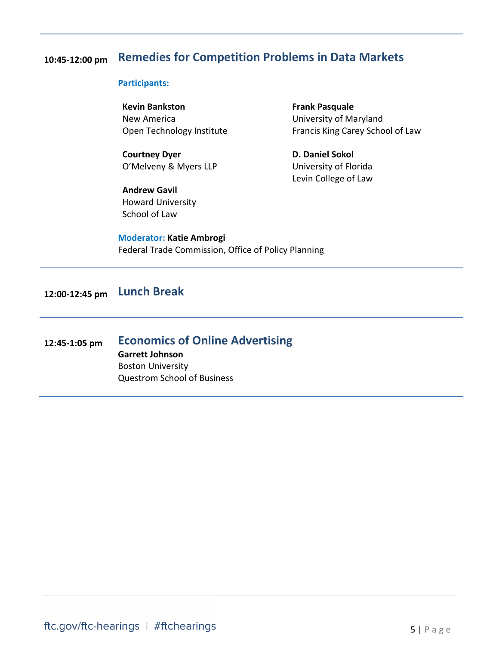# **10:45-12:00 pm Remedies for Competition Problems in Data Markets**

#### **Participants:**

**Kevin Bankston** New America Open Technology Institute

**Courtney Dyer** O'Melveny & Myers LLP

**Andrew Gavil** Howard University School of Law

**Frank Pasquale** University of Maryland Francis King Carey School of Law

**D. Daniel Sokol** University of Florida Levin College of Law

**Moderator: Katie Ambrogi** Federal Trade Commission, Office of Policy Planning

# **12:00-12:45 pm Lunch Break**

### **12:45-1:05 pm Economics of Online Advertising Garrett Johnson** Boston University Questrom School of Business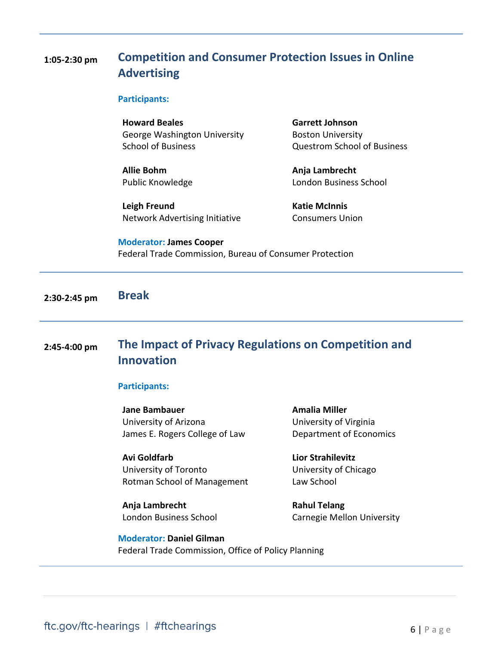# **1:05-2:30 pm Competition and Consumer Protection Issues in Online Advertising**

#### **Participants:**

**Howard Beales** George Washington University School of Business

**Allie Bohm** Public Knowledge

**Leigh Freund** Network Advertising Initiative **Garrett Johnson** Boston University Questrom School of Business

**Anja Lambrecht** London Business School

**Katie McInnis** Consumers Union

#### **Moderator: James Cooper**

Federal Trade Commission, Bureau of Consumer Protection

**2:30-2:45 pm Break**

# **2:45-4:00 pm The Impact of Privacy Regulations on Competition and Innovation**

### **Participants:**

**Jane Bambauer** University of Arizona James E. Rogers College of Law

**Avi Goldfarb** University of Toronto Rotman School of Management

**Anja Lambrecht** London Business School **Amalia Miller** University of Virginia Department of Economics

**Lior Strahilevitz** University of Chicago Law School

**Rahul Telang** Carnegie Mellon University

**Moderator: Daniel Gilman** Federal Trade Commission, Office of Policy Planning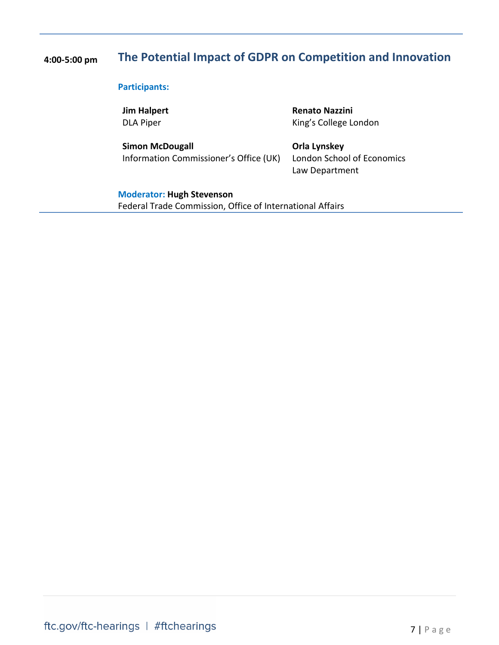# **4:00-5:00 pm The Potential Impact of GDPR on Competition and Innovation**

### **Participants:**

**Jim Halpert** DLA Piper

**Simon McDougall** Information Commissioner's Office (UK)

### **Renato Nazzini** King's College London

**Orla Lynskey** London School of Economics Law Department

### **Moderator: Hugh Stevenson**

Federal Trade Commission, Office of International Affairs